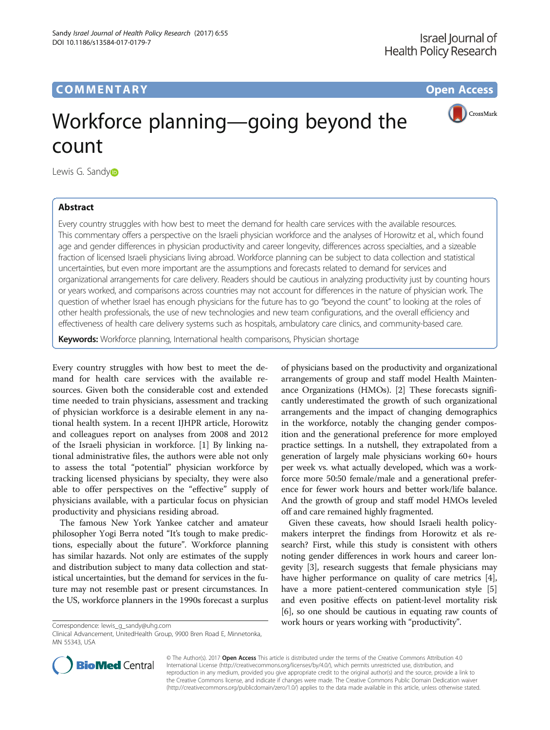

# Workforce planning—going beyond the count

Lewis G. Sandy<sub>D</sub>

## Abstract

Every country struggles with how best to meet the demand for health care services with the available resources. This commentary offers a perspective on the Israeli physician workforce and the analyses of Horowitz et al., which found age and gender differences in physician productivity and career longevity, differences across specialties, and a sizeable fraction of licensed Israeli physicians living abroad. Workforce planning can be subject to data collection and statistical uncertainties, but even more important are the assumptions and forecasts related to demand for services and organizational arrangements for care delivery. Readers should be cautious in analyzing productivity just by counting hours or years worked, and comparisons across countries may not account for differences in the nature of physician work. The question of whether Israel has enough physicians for the future has to go "beyond the count" to looking at the roles of other health professionals, the use of new technologies and new team configurations, and the overall efficiency and effectiveness of health care delivery systems such as hospitals, ambulatory care clinics, and community-based care.

Keywords: Workforce planning, International health comparisons, Physician shortage

Every country struggles with how best to meet the demand for health care services with the available resources. Given both the considerable cost and extended time needed to train physicians, assessment and tracking of physician workforce is a desirable element in any national health system. In a recent IJHPR article, Horowitz and colleagues report on analyses from 2008 and 2012 of the Israeli physician in workforce. [[1\]](#page-2-0) By linking national administrative files, the authors were able not only to assess the total "potential" physician workforce by tracking licensed physicians by specialty, they were also able to offer perspectives on the "effective" supply of physicians available, with a particular focus on physician productivity and physicians residing abroad.

The famous New York Yankee catcher and amateur philosopher Yogi Berra noted "It's tough to make predictions, especially about the future". Workforce planning has similar hazards. Not only are estimates of the supply and distribution subject to many data collection and statistical uncertainties, but the demand for services in the future may not resemble past or present circumstances. In the US, workforce planners in the 1990s forecast a surplus

of physicians based on the productivity and organizational arrangements of group and staff model Health Maintenance Organizations (HMOs). [\[2](#page-2-0)] These forecasts significantly underestimated the growth of such organizational arrangements and the impact of changing demographics in the workforce, notably the changing gender composition and the generational preference for more employed practice settings. In a nutshell, they extrapolated from a generation of largely male physicians working 60+ hours per week vs. what actually developed, which was a workforce more 50:50 female/male and a generational preference for fewer work hours and better work/life balance. And the growth of group and staff model HMOs leveled off and care remained highly fragmented.

Given these caveats, how should Israeli health policymakers interpret the findings from Horowitz et als research? First, while this study is consistent with others noting gender differences in work hours and career longevity [[3](#page-2-0)], research suggests that female physicians may have higher performance on quality of care metrics [[4](#page-2-0)], have a more patient-centered communication style [[5](#page-2-0)] and even positive effects on patient-level mortality risk [[6\]](#page-2-0), so one should be cautious in equating raw counts of work hours or years working with "productivity". Correspondence: [lewis\\_g\\_sandy@uhg.com](mailto:lewis_g_sandy@uhg.com)



© The Author(s). 2017 **Open Access** This article is distributed under the terms of the Creative Commons Attribution 4.0 International License [\(http://creativecommons.org/licenses/by/4.0/](http://creativecommons.org/licenses/by/4.0/)), which permits unrestricted use, distribution, and reproduction in any medium, provided you give appropriate credit to the original author(s) and the source, provide a link to the Creative Commons license, and indicate if changes were made. The Creative Commons Public Domain Dedication waiver [\(http://creativecommons.org/publicdomain/zero/1.0/](http://creativecommons.org/publicdomain/zero/1.0/)) applies to the data made available in this article, unless otherwise stated.

Clinical Advancement, UnitedHealth Group, 9900 Bren Road E, Minnetonka, MN 55343, USA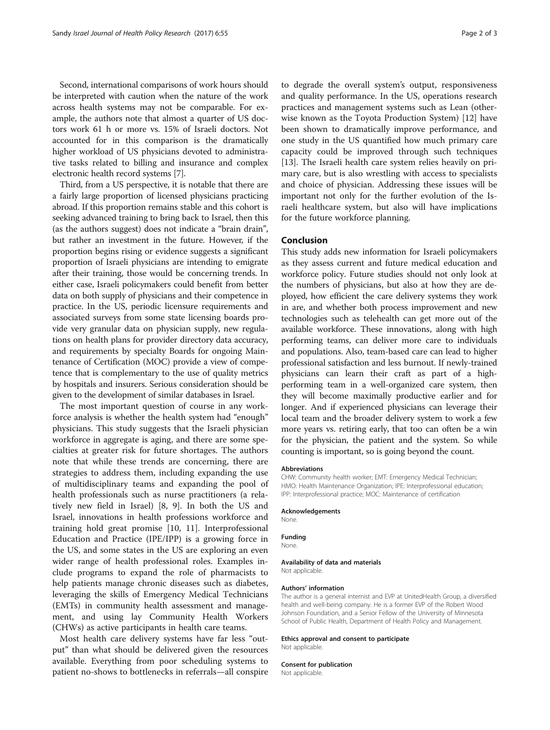Second, international comparisons of work hours should be interpreted with caution when the nature of the work across health systems may not be comparable. For example, the authors note that almost a quarter of US doctors work 61 h or more vs. 15% of Israeli doctors. Not accounted for in this comparison is the dramatically higher workload of US physicians devoted to administrative tasks related to billing and insurance and complex electronic health record systems [\[7](#page-2-0)].

Third, from a US perspective, it is notable that there are a fairly large proportion of licensed physicians practicing abroad. If this proportion remains stable and this cohort is seeking advanced training to bring back to Israel, then this (as the authors suggest) does not indicate a "brain drain", but rather an investment in the future. However, if the proportion begins rising or evidence suggests a significant proportion of Israeli physicians are intending to emigrate after their training, those would be concerning trends. In either case, Israeli policymakers could benefit from better data on both supply of physicians and their competence in practice. In the US, periodic licensure requirements and associated surveys from some state licensing boards provide very granular data on physician supply, new regulations on health plans for provider directory data accuracy, and requirements by specialty Boards for ongoing Maintenance of Certification (MOC) provide a view of competence that is complementary to the use of quality metrics by hospitals and insurers. Serious consideration should be given to the development of similar databases in Israel.

The most important question of course in any workforce analysis is whether the health system had "enough" physicians. This study suggests that the Israeli physician workforce in aggregate is aging, and there are some specialties at greater risk for future shortages. The authors note that while these trends are concerning, there are strategies to address them, including expanding the use of multidisciplinary teams and expanding the pool of health professionals such as nurse practitioners (a relatively new field in Israel) [[8, 9\]](#page-2-0). In both the US and Israel, innovations in health professions workforce and training hold great promise [\[10, 11](#page-2-0)]. Interprofessional Education and Practice (IPE/IPP) is a growing force in the US, and some states in the US are exploring an even wider range of health professional roles. Examples include programs to expand the role of pharmacists to help patients manage chronic diseases such as diabetes, leveraging the skills of Emergency Medical Technicians (EMTs) in community health assessment and management, and using lay Community Health Workers (CHWs) as active participants in health care teams.

Most health care delivery systems have far less "output" than what should be delivered given the resources available. Everything from poor scheduling systems to patient no-shows to bottlenecks in referrals—all conspire to degrade the overall system's output, responsiveness and quality performance. In the US, operations research practices and management systems such as Lean (otherwise known as the Toyota Production System) [[12\]](#page-2-0) have been shown to dramatically improve performance, and one study in the US quantified how much primary care capacity could be improved through such techniques [[13\]](#page-2-0). The Israeli health care system relies heavily on primary care, but is also wrestling with access to specialists and choice of physician. Addressing these issues will be important not only for the further evolution of the Israeli healthcare system, but also will have implications for the future workforce planning.

## Conclusion

This study adds new information for Israeli policymakers as they assess current and future medical education and workforce policy. Future studies should not only look at the numbers of physicians, but also at how they are deployed, how efficient the care delivery systems they work in are, and whether both process improvement and new technologies such as telehealth can get more out of the available workforce. These innovations, along with high performing teams, can deliver more care to individuals and populations. Also, team-based care can lead to higher professional satisfaction and less burnout. If newly-trained physicians can learn their craft as part of a highperforming team in a well-organized care system, then they will become maximally productive earlier and for longer. And if experienced physicians can leverage their local team and the broader delivery system to work a few more years vs. retiring early, that too can often be a win for the physician, the patient and the system. So while counting is important, so is going beyond the count.

#### Abbreviations

CHW: Community health worker; EMT: Emergency Medical Technician; HMO: Health Maintenance Organization; IPE: Interprofessional education; IPP: Interprofessional practice; MOC: Maintenance of certification

#### Acknowledgements

None.

### Funding

None.

## Availability of data and materials

Not applicable.

#### Authors' information

The author is a general internist and EVP at UnitedHealth Group, a diversified health and well-being company. He is a former EVP of the Robert Wood Johnson Foundation, and a Senior Fellow of the University of Minnesota School of Public Health, Department of Health Policy and Management.

Ethics approval and consent to participate Not applicable.

#### Consent for publication

Not applicable.